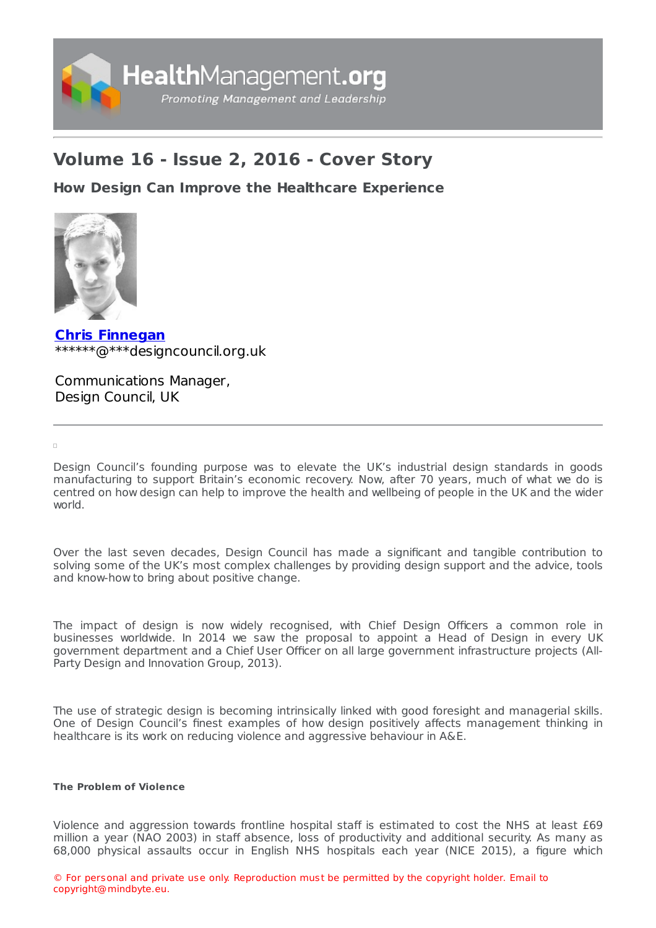

# **Volume 16 - Issue 2, 2016 - Cover Story**

**How Design Can Improve the Healthcare [Experience](https://healthmanagement.org/s/how-design-can-improve-the-healthcare-experience)**



**Chris [Finnegan](https://healthmanagement.org/viewProfile/96508/Chris_Finnegan)** \*\*\*\*\*\*@\*\*\*designcouncil.org.uk

Communications Manager, Design Council, UK

 $\Box$ 

Design Council's founding purpose was to elevate the UK's industrial design standards in goods manufacturing to support Britain's economic recovery. Now, after 70 years, much of what we do is centred on how design can help to improve the health and wellbeing of people in the UK and the wider world.

Over the last seven decades, Design Council has made a significant and tangible contribution to solving some of the UK's most complex challenges by providing design support and the advice, tools and know-how to bring about positive change.

The impact of design is now widely recognised, with Chief Design Officers a common role in businesses worldwide. In 2014 we saw the proposal to appoint a Head of Design in every UK government department and a Chief User Officer on all large government infrastructure projects (All-Party Design and Innovation Group, 2013).

The use of strategic design is becoming intrinsically linked with good foresight and managerial skills. One of Design Council's finest examples of how design positively affects management thinking in healthcare is its work on reducing violence and aggressive behaviour in A&E.

## **The Problem of Violence**

Violence and aggression towards frontline hospital staff is estimated to cost the NHS at least £69 million a year (NAO 2003) in staff absence, loss of productivity and additional security. As many as 68,000 physical assaults occur in English NHS hospitals each year (NICE 2015), a figure which

© For personal and private use only. Reproduction must be permitted by the copyright holder. Email to copyright@mindbyte.eu.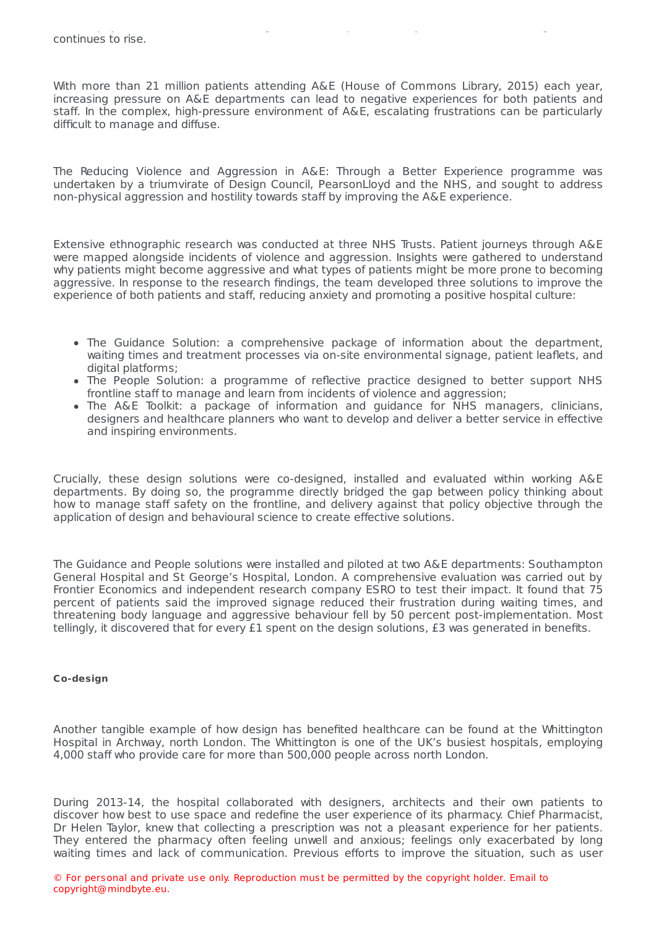With more than 21 million patients attending A&E (House of Commons Library, 2015) each year, increasing pressure on A&E departments can lead to negative experiences for both patients and staff. In the complex, high-pressure environment of A&E, escalating frustrations can be particularly difficult to manage and diffuse.

The Reducing Violence and Aggression in A&E: Through a Better Experience programme was undertaken by a triumvirate of Design Council, PearsonLloyd and the NHS, and sought to address non-physical aggression and hostility towards staff by improving the A&E experience.

Extensive ethnographic research was conducted at three NHS Trusts. Patient journeys through A&E were mapped alongside incidents of violence and aggression. Insights were gathered to understand why patients might become aggressive and what types of patients might be more prone to becoming aggressive. In response to the research findings, the team developed three solutions to improve the experience of both patients and staff, reducing anxiety and promoting a positive hospital culture:

- The Guidance Solution: a comprehensive package of information about the department, waiting times and treatment processes via on-site environmental signage, patient leaflets, and digital platforms;
- The People Solution: a programme of reflective practice designed to better support NHS frontline staff to manage and learn from incidents of violence and aggression:
- The A&E Toolkit: a package of information and quidance for NHS managers, clinicians, designers and healthcare planners who want to develop and deliver a better service in effective and inspiring environments.

Crucially, these design solutions were co-designed, installed and evaluated within working A&E departments. By doing so, the programme directly bridged the gap between policy thinking about how to manage staff safety on the frontline, and delivery against that policy objective through the application of design and behavioural science to create effective solutions.

The Guidance and People solutions were installed and piloted at two A&E departments: Southampton General Hospital and St George's Hospital, London. A comprehensive evaluation was carried out by Frontier Economics and independent research company ESRO to test their impact. It found that 75 percent of patients said the improved signage reduced their frustration during waiting times, and threatening body language and aggressive behaviour fell by 50 percent post-implementation. Most tellingly, it discovered that for every £1 spent on the design solutions, £3 was generated in benefits.

### **Co-design**

Another tangible example of how design has benefited healthcare can be found at the Whittington Hospital in Archway, north London. The Whittington is one of the UK's busiest hospitals, employing 4,000 staff who provide care for more than 500,000 people across north London.

During 2013-14, the hospital collaborated with designers, architects and their own patients to discover how best to use space and redefine the user experience of its pharmacy. Chief Pharmacist, Dr Helen Taylor, knew that collecting a prescription was not a pleasant experience for her patients. They entered the pharmacy often feeling unwell and anxious; feelings only exacerbated by long waiting times and lack of communication. Previous efforts to improve the situation, such as user

© For personal and private use only. Reproduction must be permitted by the copyright holder. Email to copyright@mindbyte.eu.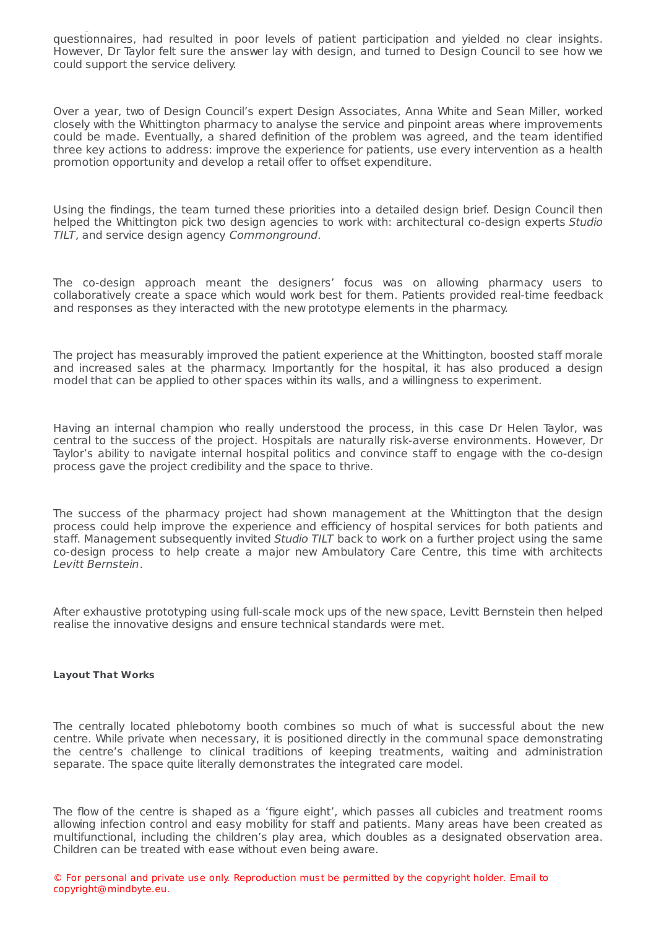questionnaires, had resulted in poor levels of patient participation and yielded no clear insights. However, Dr Taylor felt sure the answer lay with design, and turned to Design Council to see how we could support the service delivery.

waiting times and lack of communication. Previous efforts to improve the situation, such as users the situation,

Over a year, two of Design Council's expert Design Associates, Anna White and Sean Miller, worked closely with the Whittington pharmacy to analyse the service and pinpoint areas where improvements could be made. Eventually, a shared definition of the problem was agreed, and the team identified three key actions to address: improve the experience for patients, use every intervention as a health promotion opportunity and develop a retail offer to offset expenditure.

Using the findings, the team turned these priorities into a detailed design brief. Design Council then helped the Whittington pick two design agencies to work with: architectural co-design experts Studio TILT, and service design agency Commonground.

The co-design approach meant the designers' focus was on allowing pharmacy users to collaboratively create a space which would work best for them. Patients provided real-time feedback and responses as they interacted with the new prototype elements in the pharmacy.

The project has measurably improved the patient experience at the Whittington, boosted staff morale and increased sales at the pharmacy. Importantly for the hospital, it has also produced a design model that can be applied to other spaces within its walls, and a willingness to experiment.

Having an internal champion who really understood the process, in this case Dr Helen Taylor, was central to the success of the project. Hospitals are naturally risk-averse environments. However, Dr Taylor's ability to navigate internal hospital politics and convince staff to engage with the co-design process gave the project credibility and the space to thrive.

The success of the pharmacy project had shown management at the Whittington that the design process could help improve the experience and efficiency of hospital services for both patients and staff. Management subsequently invited Studio TILT back to work on a further project using the same co-design process to help create a major new Ambulatory Care Centre, this time with architects Levitt Bernstein.

After exhaustive prototyping using full-scale mock ups of the new space, Levitt Bernstein then helped realise the innovative designs and ensure technical standards were met.

#### **Layout That Works**

The centrally located phlebotomy booth combines so much of what is successful about the new centre. While private when necessary, it is positioned directly in the communal space demonstrating the centre's challenge to clinical traditions of keeping treatments, waiting and administration separate. The space quite literally demonstrates the integrated care model.

The flow of the centre is shaped as a 'figure eight', which passes all cubicles and treatment rooms allowing infection control and easy mobility for staff and patients. Many areas have been created as multifunctional, including the children's play area, which doubles as a designated observation area. Children can be treated with ease without even being aware.

© For personal and private use only. Reproduction must be permitted by the copyright holder. Email to copyright@mindbyte.eu.